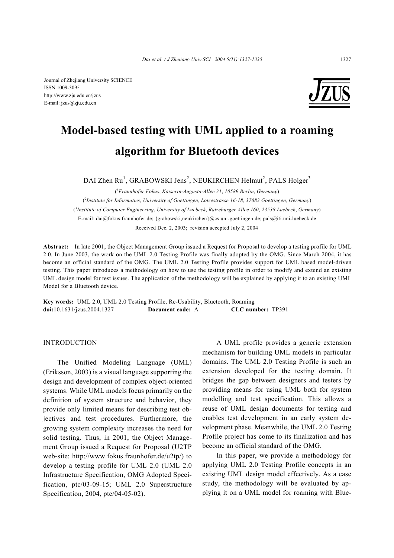

# **Model-based testing with UML applied to a roaming algorithm for Bluetooth devices**

DAI Zhen Ru<sup>1</sup>, GRABOWSKI Jens<sup>2</sup>, NEUKIRCHEN Helmut<sup>2</sup>, PALS Holger<sup>3</sup>

( *1 Fraunhofer Fokus*, *Kaiserin-Augusta-Allee 31*, *10589 Berlin*, *Germany*) ( *2 Institute for Informatics*, *University of Goettingen*, *Lotzestrasse 16-18*, *37083 Goettingen*, *Germany*) ( *3 Institute of Computer Engineering*, *University of Luebeck*, *Ratzeburger Allee 160*, *23538 Luebeck*, *Germany*) E-mail: dai@fokus.fraunhofer.de; {grabowski,neukirchen}@cs.uni-goettingen.de; pals@iti.uni-luebeck.de Received Dec. 2, 2003; revision accepted July 2, 2004

**Abstract:** In late 2001, the Object Management Group issued a Request for Proposal to develop a testing profile for UML 2.0. In June 2003, the work on the UML 2.0 Testing Profile was finally adopted by the OMG. Since March 2004, it has become an official standard of the OMG. The UML 2.0 Testing Profile provides support for UML based model-driven testing. This paper introduces a methodology on how to use the testing profile in order to modify and extend an existing UML design model for test issues. The application of the methodology will be explained by applying it to an existing UML Model for a Bluetooth device.

**Key words:** UML 2.0, UML 2.0 Testing Profile, Re-Usability, Bluetooth, Roaming **doi:**10.1631/jzus.2004.1327 **Document code:** A **CLC number:** TP391

## INTRODUCTION

The Unified Modeling Language (UML) (Eriksson, 2003) is a visual language supporting the design and development of complex object-oriented systems. While UML models focus primarily on the definition of system structure and behavior, they provide only limited means for describing test objectives and test procedures. Furthermore, the growing system complexity increases the need for solid testing. Thus, in 2001, the Object Management Group issued a Request for Proposal (U2TP web-site: http://www.fokus.fraunhofer.de/u2tp/) to develop a testing profile for UML 2.0 (UML 2.0 Infrastructure Specification, OMG Adopted Specification, ptc/03-09-15; UML 2.0 Superstructure Specification, 2004, ptc/04-05-02).

A UML profile provides a generic extension mechanism for building UML models in particular domains. The UML 2.0 Testing Profile is such an extension developed for the testing domain. It bridges the gap between designers and testers by providing means for using UML both for system modelling and test specification. This allows a reuse of UML design documents for testing and enables test development in an early system development phase. Meanwhile, the UML 2.0 Testing Profile project has come to its finalization and has become an official standard of the OMG.

In this paper, we provide a methodology for applying UML 2.0 Testing Profile concepts in an existing UML design model effectively. As a case study, the methodology will be evaluated by applying it on a UML model for roaming with Blue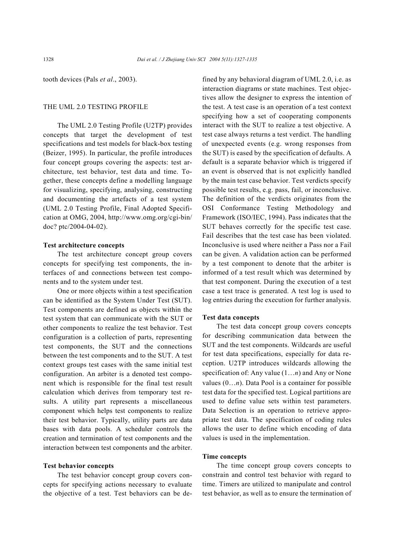tooth devices (Pals *et al*., 2003).

# THE UML 2.0 TESTING PROFILE

The UML 2.0 Testing Profile (U2TP) provides concepts that target the development of test specifications and test models for black-box testing (Beizer, 1995). In particular, the profile introduces four concept groups covering the aspects: test architecture, test behavior, test data and time. Together, these concepts define a modelling language for visualizing, specifying, analysing, constructing and documenting the artefacts of a test system (UML 2.0 Testing Profile, Final Adopted Specification at OMG, 2004, http://www.omg.org/cgi-bin/ doc? ptc/2004-04-02).

## **Test architecture concepts**

The test architecture concept group covers concepts for specifying test components, the interfaces of and connections between test components and to the system under test.

One or more objects within a test specification can be identified as the System Under Test (SUT). Test components are defined as objects within the test system that can communicate with the SUT or other components to realize the test behavior. Test configuration is a collection of parts, representing test components, the SUT and the connections between the test components and to the SUT. A test context groups test cases with the same initial test configuration. An arbiter is a denoted test component which is responsible for the final test result calculation which derives from temporary test results. A utility part represents a miscellaneous component which helps test components to realize their test behavior. Typically, utility parts are data bases with data pools. A scheduler controls the creation and termination of test components and the interaction between test components and the arbiter.

#### **Test behavior concepts**

The test behavior concept group covers concepts for specifying actions necessary to evaluate the objective of a test. Test behaviors can be defined by any behavioral diagram of UML 2.0, i.e. as interaction diagrams or state machines. Test objectives allow the designer to express the intention of the test. A test case is an operation of a test context specifying how a set of cooperating components interact with the SUT to realize a test objective. A test case always returns a test verdict. The handling of unexpected events (e.g. wrong responses from the SUT) is eased by the specification of defaults. A default is a separate behavior which is triggered if an event is observed that is not explicitly handled by the main test case behavior. Test verdicts specify possible test results, e.g. pass, fail, or inconclusive. The definition of the verdicts originates from the OSI Conformance Testing Methodology and Framework (ISO/IEC, 1994). Pass indicates that the SUT behaves correctly for the specific test case. Fail describes that the test case has been violated. Inconclusive is used where neither a Pass nor a Fail can be given. A validation action can be performed by a test component to denote that the arbiter is informed of a test result which was determined by that test component. During the execution of a test case a test trace is generated. A test log is used to log entries during the execution for further analysis.

## **Test data concepts**

The test data concept group covers concepts for describing communication data between the SUT and the test components. Wildcards are useful for test data specifications, especially for data reception. U2TP introduces wildcards allowing the specification of: Any value (1…*n*) and Any or None values (0…*n*). Data Pool is a container for possible test data for the specified test. Logical partitions are used to define value sets within test parameters. Data Selection is an operation to retrieve appropriate test data. The specification of coding rules allows the user to define which encoding of data values is used in the implementation.

## **Time concepts**

The time concept group covers concepts to constrain and control test behavior with regard to time. Timers are utilized to manipulate and control test behavior, as well as to ensure the termination of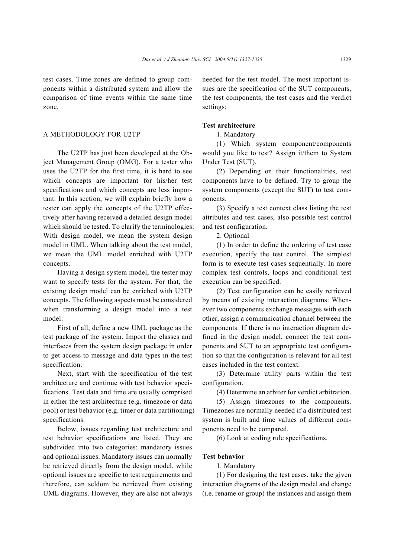## A METHODOLOGY FOR U2TP

The U2TP has just been developed at the Object Management Group (OMG). For a tester who uses the U2TP for the first time, it is hard to see which concepts are important for his/her test specifications and which concepts are less important. In this section, we will explain briefly how a tester can apply the concepts of the U2TP effectively after having received a detailed design model which should be tested. To clarify the terminologies: With design model, we mean the system design model in UML. When talking about the test model, we mean the UML model enriched with U2TP concepts.

Having a design system model, the tester may want to specify tests for the system. For that, the existing design model can be enriched with U2TP concepts. The following aspects must be considered when transforming a design model into a test model:

First of all, define a new UML package as the test package of the system. Import the classes and interfaces from the system design package in order to get access to message and data types in the test specification.

Next, start with the specification of the test architecture and continue with test behavior specifications. Test data and time are usually comprised in either the test architecture (e.g. timezone or data pool) or test behavior (e.g. timer or data partitioning) specifications.

Below, issues regarding test architecture and test behavior specifications are listed. They are subdivided into two categories: mandatory issues and optional issues. Mandatory issues can normally be retrieved directly from the design model, while optional issues are specific to test requirements and therefore, can seldom be retrieved from existing UML diagrams. However, they are also not always needed for the test model. The most important issues are the specification of the SUT components, the test components, the test cases and the verdict settings:

## **Test architecture**

## 1. Mandatory

(1) Which system component/components would you like to test? Assign it/them to System Under Test (SUT).

(2) Depending on their functionalities, test components have to be defined. Try to group the system components (except the SUT) to test components.

(3) Specify a test context class listing the test attributes and test cases, also possible test control and test configuration.

2. Optional

(1) In order to define the ordering of test case execution, specify the test control. The simplest form is to execute test cases sequentially. In more complex test controls, loops and conditional test execution can be specified.

(2) Test configuration can be easily retrieved by means of existing interaction diagrams: Whenever two components exchange messages with each other, assign a communication channel between the components. If there is no interaction diagram defined in the design model, connect the test components and SUT to an appropriate test configuration so that the configuration is relevant for all test cases included in the test context.

(3) Determine utility parts within the test configuration.

(4) Determine an arbiter for verdict arbitration.

(5) Assign timezones to the components. Timezones are normally needed if a distributed test system is built and time values of different components need to be compared.

(6) Look at coding rule specifications.

#### **Test behavior**

1. Mandatory

(1) For designing the test cases, take the given interaction diagrams of the design model and change (i.e. rename or group) the instances and assign them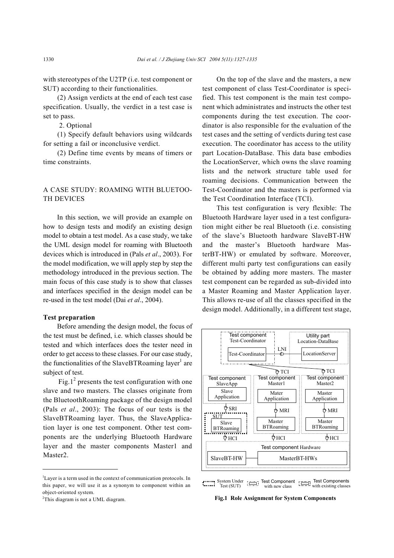with stereotypes of the U2TP (i.e. test component or SUT) according to their functionalities.

(2) Assign verdicts at the end of each test case specification. Usually, the verdict in a test case is set to pass.

2. Optional

(1) Specify default behaviors using wildcards for setting a fail or inconclusive verdict.

(2) Define time events by means of timers or time constraints.

# A CASE STUDY: ROAMING WITH BLUETOO-TH DEVICES

In this section, we will provide an example on how to design tests and modify an existing design model to obtain a test model. As a case study, we take the UML design model for roaming with Bluetooth devices which is introduced in (Pals *et al*., 2003). For the model modification, we will apply step by step the methodology introduced in the previous section. The main focus of this case study is to show that classes and interfaces specified in the design model can be re-used in the test model (Dai *et al*., 2004).

## **Test preparation**

Before amending the design model, the focus of the test must be defined, i.e. which classes should be tested and which interfaces does the tester need in order to get access to these classes. For our case study, the functionalities of the SlaveBTRoaming layer<sup>1</sup> are subject of test.

Fig.1<sup>2</sup> presents the test configuration with one slave and two masters. The classes originate from the BluetoothRoaming package of the design model (Pals *et al*., 2003): The focus of our tests is the SlaveBTRoaming layer. Thus, the SlaveApplication layer is one test component. Other test components are the underlying Bluetooth Hardware layer and the master components Master1 and Master2.

On the top of the slave and the masters, a new test component of class Test-Coordinator is specified. This test component is the main test component which administrates and instructs the other test components during the test execution. The coordinator is also responsible for the evaluation of the test cases and the setting of verdicts during test case execution. The coordinator has access to the utility part Location-DataBase. This data base embodies the LocationServer, which owns the slave roaming lists and the network structure table used for roaming decisions. Communication between the Test-Coordinator and the masters is performed via the Test Coordination Interface (TCI).

This test configuration is very flexible: The Bluetooth Hardware layer used in a test configuration might either be real Bluetooth (i.e. consisting of the slave's Bluetooth hardware SlaveBT-HW and the master's Bluetooth hardware MasterBT-HW) or emulated by software. Moreover, different multi party test configurations can easily be obtained by adding more masters. The master test component can be regarded as sub-divided into a Master Roaming and Master Application layer. This allows re-use of all the classes specified in the design model. Additionally, in a different test stage,



System Under Test (SUT) Test Component  $\overline{r}$  Test Components<br>with new class with existing classes

**Fig.1 Role Assignment for System Components** 

<sup>&</sup>lt;sup>1</sup>Layer is a term used in the context of communication protocols. In this paper, we will use it as a synonym to component within an object-oriented system.

<sup>&</sup>lt;sup>2</sup>This diagram is not a UML diagram.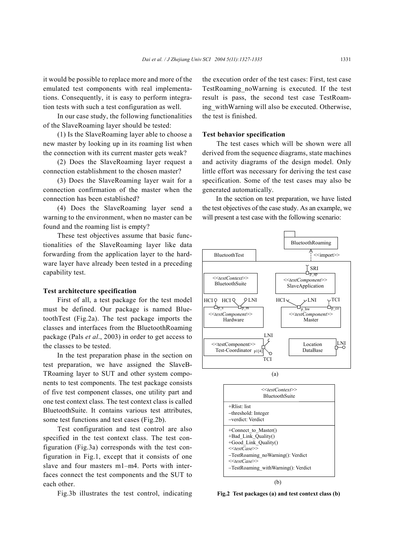it would be possible to replace more and more of the emulated test components with real implementations. Consequently, it is easy to perform integration tests with such a test configuration as well.

In our case study, the following functionalities of the SlaveRoaming layer should be tested:

(1) Is the SlaveRoaming layer able to choose a new master by looking up in its roaming list when the connection with its current master gets weak?

(2) Does the SlaveRoaming layer request a connection establishment to the chosen master?

(3) Does the SlaveRoaming layer wait for a connection confirmation of the master when the connection has been established?

(4) Does the SlaveRoaming layer send a warning to the environment, when no master can be found and the roaming list is empty?

These test objectives assume that basic functionalities of the SlaveRoaming layer like data forwarding from the application layer to the hardware layer have already been tested in a preceding capability test.

## **Test architecture specification**

First of all, a test package for the test model must be defined. Our package is named BluetoothTest (Fig.2a). The test package imports the classes and interfaces from the BluetoothRoaming package (Pals *et al*., 2003) in order to get access to the classes to be tested.

In the test preparation phase in the section on test preparation, we have assigned the SlaveB-TRoaming layer to SUT and other system components to test components. The test package consists of five test component classes, one utility part and one test context class. The test context class is called BluetoothSuite. It contains various test attributes, some test functions and test cases (Fig.2b).

Test configuration and test control are also specified in the test context class. The test configuration (Fig.3a) corresponds with the test configuration in Fig.1, except that it consists of one slave and four masters m1–m4. Ports with interfaces connect the test components and the SUT to each other.

Fig.3b illustrates the test control, indicating

the execution order of the test cases: First, test case TestRoaming\_noWarning is executed. If the test result is pass, the second test case TestRoaming withWarning will also be executed. Otherwise, the test is finished.

## **Test behavior specification**

The test cases which will be shown were all derived from the sequence diagrams, state machines and activity diagrams of the design model. Only little effort was necessary for deriving the test case specification. Some of the test cases may also be generated automatically.

In the section on test preparation, we have listed the test objectives of the case study. As an example, we will present a test case with the following scenario:







**Fig.2 Test packages (a) and test context class (b)**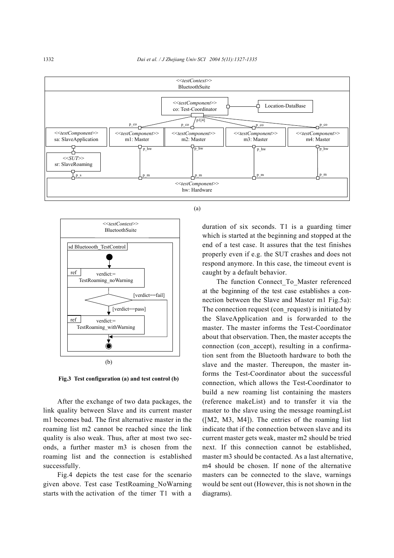



**Fig.3 Test configuration (a) and test control (b)** 

After the exchange of two data packages, the link quality between Slave and its current master m1 becomes bad. The first alternative master in the roaming list m2 cannot be reached since the link quality is also weak. Thus, after at most two seconds, a further master m3 is chosen from the roaming list and the connection is established successfully.

Fig.4 depicts the test case for the scenario given above. Test case TestRoaming\_NoWarning starts with the activation of the timer T1 with a

duration of six seconds. T1 is a guarding timer which is started at the beginning and stopped at the end of a test case. It assures that the test finishes properly even if e.g. the SUT crashes and does not respond anymore. In this case, the timeout event is caught by a default behavior.

The function Connect\_To\_Master referenced at the beginning of the test case establishes a connection between the Slave and Master m1 Fig.5a): The connection request (con\_request) is initiated by the SlaveApplication and is forwarded to the master. The master informs the Test-Coordinator about that observation. Then, the master accepts the connection (con\_accept), resulting in a confirmation sent from the Bluetooth hardware to both the slave and the master. Thereupon, the master informs the Test-Coordinator about the successful connection, which allows the Test-Coordinator to build a new roaming list containing the masters (reference makeList) and to transfer it via the master to the slave using the message roamingList ([M2, M3, M4]). The entries of the roaming list indicate that if the connection between slave and its current master gets weak, master m2 should be tried next. If this connection cannot be established, master m3 should be contacted. As a last alternative, m4 should be chosen. If none of the alternative masters can be connected to the slave, warnings would be sent out (However, this is not shown in the diagrams).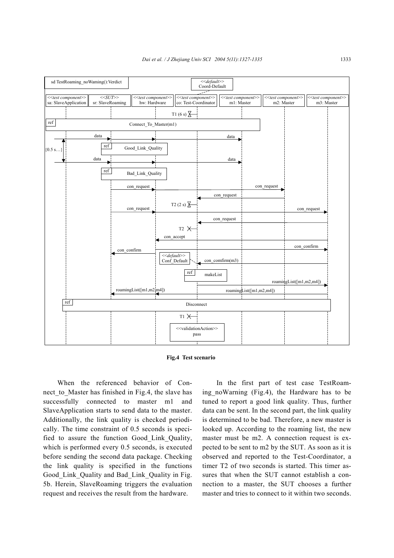



When the referenced behavior of Connect to Master has finished in Fig.4, the slave has successfully connected to master m1 and SlaveApplication starts to send data to the master. Additionally, the link quality is checked periodically. The time constraint of 0.5 seconds is specified to assure the function Good\_Link\_Quality, which is performed every 0.5 seconds, is executed before sending the second data package. Checking the link quality is specified in the functions Good Link Quality and Bad Link Quality in Fig. 5b. Herein, SlaveRoaming triggers the evaluation request and receives the result from the hardware.

In the first part of test case TestRoaming\_noWarning (Fig.4), the Hardware has to be tuned to report a good link quality. Thus, further data can be sent. In the second part, the link quality is determined to be bad. Therefore, a new master is looked up. According to the roaming list, the new master must be m2. A connection request is expected to be sent to m2 by the SUT. As soon as it is observed and reported to the Test-Coordinator, a timer T2 of two seconds is started. This timer assures that when the SUT cannot establish a connection to a master, the SUT chooses a further master and tries to connect to it within two seconds.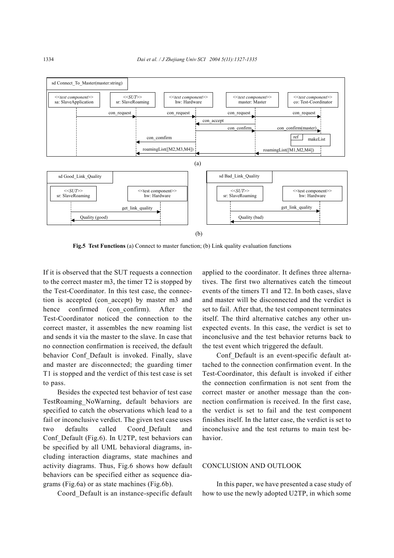

**Fig.5 Test Functions** (a) Connect to master function; (b) Link quality evaluation functions

If it is observed that the SUT requests a connection to the correct master m3, the timer T2 is stopped by the Test-Coordinator. In this test case, the connection is accepted (con\_accept) by master m3 and hence confirmed (con confirm). After the Test-Coordinator noticed the connection to the correct master, it assembles the new roaming list and sends it via the master to the slave. In case that no connection confirmation is received, the default behavior Conf\_Default is invoked. Finally, slave and master are disconnected; the guarding timer T1 is stopped and the verdict of this test case is set to pass.

Besides the expected test behavior of test case TestRoaming\_NoWarning, default behaviors are specified to catch the observations which lead to a fail or inconclusive verdict. The given test case uses two defaults called Coord\_Default and Conf Default (Fig.6). In U2TP, test behaviors can be specified by all UML behavioral diagrams, including interaction diagrams, state machines and activity diagrams. Thus, Fig.6 shows how default behaviors can be specified either as sequence diagrams (Fig.6a) or as state machines (Fig.6b).

Coord\_Default is an instance-specific default

applied to the coordinator. It defines three alternatives. The first two alternatives catch the timeout events of the timers T1 and T2. In both cases, slave and master will be disconnected and the verdict is set to fail. After that, the test component terminates itself. The third alternative catches any other unexpected events. In this case, the verdict is set to inconclusive and the test behavior returns back to the test event which triggered the default.

Conf\_Default is an event-specific default attached to the connection confirmation event. In the Test-Coordinator, this default is invoked if either the connection confirmation is not sent from the correct master or another message than the connection confirmation is received. In the first case, the verdict is set to fail and the test component finishes itself. In the latter case, the verdict is set to inconclusive and the test returns to main test behavior.

## CONCLUSION AND OUTLOOK

In this paper, we have presented a case study of how to use the newly adopted U2TP, in which some